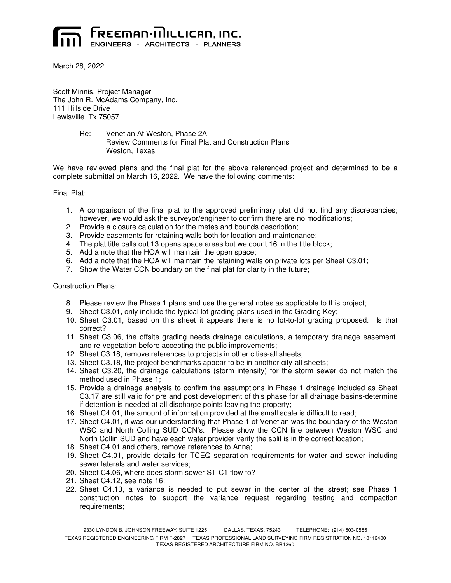

March 28, 2022

Scott Minnis, Project Manager The John R. McAdams Company, Inc. 111 Hillside Drive Lewisville, Tx 75057

> Re: Venetian At Weston, Phase 2A Review Comments for Final Plat and Construction Plans Weston, Texas

We have reviewed plans and the final plat for the above referenced project and determined to be a complete submittal on March 16, 2022. We have the following comments:

Final Plat:

- 1. A comparison of the final plat to the approved preliminary plat did not find any discrepancies; however, we would ask the surveyor/engineer to confirm there are no modifications;
- 2. Provide a closure calculation for the metes and bounds description;
- 3. Provide easements for retaining walls both for location and maintenance;
- 4. The plat title calls out 13 opens space areas but we count 16 in the title block;
- 5. Add a note that the HOA will maintain the open space;
- 6. Add a note that the HOA will maintain the retaining walls on private lots per Sheet C3.01;
- 7. Show the Water CCN boundary on the final plat for clarity in the future;

## Construction Plans:

- 8. Please review the Phase 1 plans and use the general notes as applicable to this project;
- 9. Sheet C3.01, only include the typical lot grading plans used in the Grading Key;
- 10. Sheet C3.01, based on this sheet it appears there is no lot-to-lot grading proposed. Is that correct?
- 11. Sheet C3.06, the offsite grading needs drainage calculations, a temporary drainage easement, and re-vegetation before accepting the public improvements;
- 12. Sheet C3.18, remove references to projects in other cities-all sheets;
- 13. Sheet C3.18, the project benchmarks appear to be in another city-all sheets;
- 14. Sheet C3.20, the drainage calculations (storm intensity) for the storm sewer do not match the method used in Phase 1;
- 15. Provide a drainage analysis to confirm the assumptions in Phase 1 drainage included as Sheet C3.17 are still valid for pre and post development of this phase for all drainage basins-determine if detention is needed at all discharge points leaving the property;
- 16. Sheet C4.01, the amount of information provided at the small scale is difficult to read;
- 17. Sheet C4.01, it was our understanding that Phase 1 of Venetian was the boundary of the Weston WSC and North Colling SUD CCN's. Please show the CCN line between Weston WSC and North Collin SUD and have each water provider verify the split is in the correct location;
- 18. Sheet C4.01 and others, remove references to Anna;
- 19. Sheet C4.01, provide details for TCEQ separation requirements for water and sewer including sewer laterals and water services;
- 20. Sheet C4.06, where does storm sewer ST-C1 flow to?
- 21. Sheet C4.12, see note 16;
- 22. Sheet C4.13, a variance is needed to put sewer in the center of the street; see Phase 1 construction notes to support the variance request regarding testing and compaction requirements;